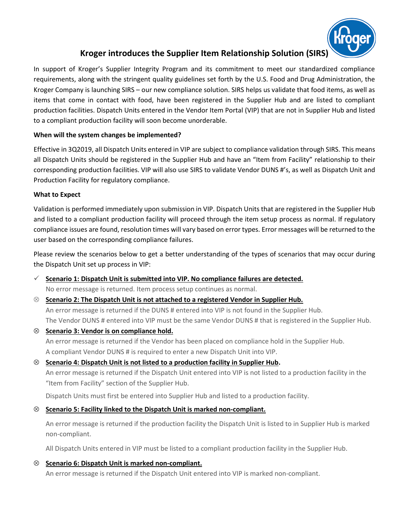

# **Kroger introduces the Supplier Item Relationship Solution (SIRS)**

In support of Kroger's Supplier Integrity Program and its commitment to meet our standardized compliance requirements, along with the stringent quality guidelines set forth by the U.S. Food and Drug Administration, the Kroger Company is launching SIRS – our new compliance solution. SIRS helps us validate that food items, as well as items that come in contact with food, have been registered in the Supplier Hub and are listed to compliant production facilities. Dispatch Units entered in the Vendor Item Portal (VIP) that are not in Supplier Hub and listed to a compliant production facility will soon become unorderable.

#### **When will the system changes be implemented?**

Effective in 3Q2019, all Dispatch Units entered in VIP are subject to compliance validation through SIRS. This means all Dispatch Units should be registered in the Supplier Hub and have an "Item from Facility" relationship to their corresponding production facilities. VIP will also use SIRS to validate Vendor DUNS #'s, as well as Dispatch Unit and Production Facility for regulatory compliance.

#### **What to Expect**

Validation is performed immediately upon submission in VIP. Dispatch Units that are registered in the Supplier Hub and listed to a compliant production facility will proceed through the item setup process as normal. If regulatory compliance issues are found, resolution times will vary based on error types. Error messages will be returned to the user based on the corresponding compliance failures.

Please review the scenarios below to get a better understanding of the types of scenarios that may occur during the Dispatch Unit set up process in VIP:

## ✓ **Scenario 1: Dispatch Unit is submitted into VIP. No compliance failures are detected.**

No error message is returned. Item process setup continues as normal.

#### **Scenario 2: The Dispatch Unit is not attached to a registered Vendor in Supplier Hub.**

An error message is returned if the DUNS # entered into VIP is not found in the Supplier Hub. The Vendor DUNS # entered into VIP must be the same Vendor DUNS # that is registered in the Supplier Hub.

**Scenario 3: Vendor is on compliance hold.**

An error message is returned if the Vendor has been placed on compliance hold in the Supplier Hub. A compliant Vendor DUNS # is required to enter a new Dispatch Unit into VIP.

## **Scenario 4: Dispatch Unit is not listed to a production facility in Supplier Hub.**

An error message is returned if the Dispatch Unit entered into VIP is not listed to a production facility in the "Item from Facility" section of the Supplier Hub.

Dispatch Units must first be entered into Supplier Hub and listed to a production facility.

## **Scenario 5: Facility linked to the Dispatch Unit is marked non-compliant.**

An error message is returned if the production facility the Dispatch Unit is listed to in Supplier Hub is marked non-compliant.

All Dispatch Units entered in VIP must be listed to a compliant production facility in the Supplier Hub.

## **Scenario 6: Dispatch Unit is marked non-compliant.**

An error message is returned if the Dispatch Unit entered into VIP is marked non-compliant.